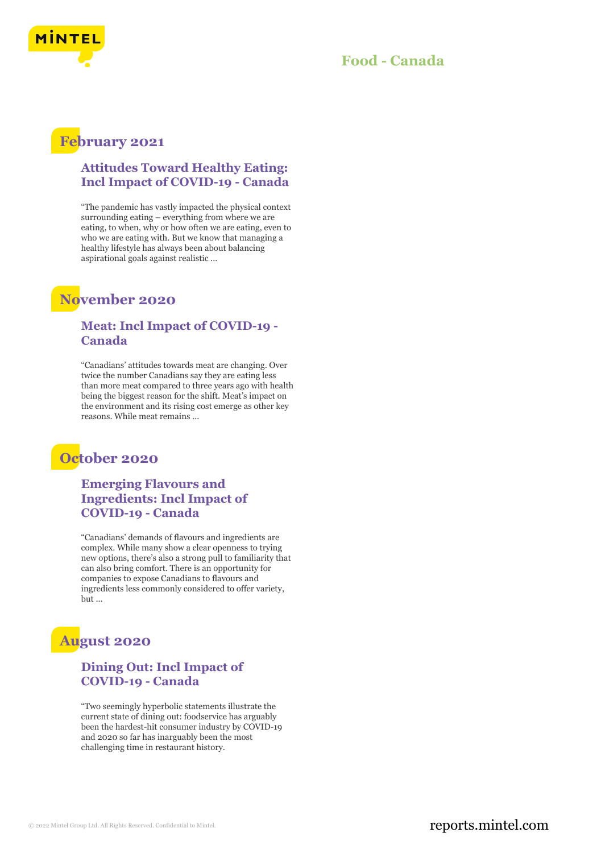

## **Food - Canada**

# **February 2021**

## **Attitudes Toward Healthy Eating: Incl Impact of COVID-19 - Canada**

"The pandemic has vastly impacted the physical context surrounding eating – everything from where we are eating, to when, why or how often we are eating, even to who we are eating with. But we know that managing a healthy lifestyle has always been about balancing aspirational goals against realistic ...

# **November 2020**

#### **Meat: Incl Impact of COVID-19 - Canada**

"Canadians' attitudes towards meat are changing. Over twice the number Canadians say they are eating less than more meat compared to three years ago with health being the biggest reason for the shift. Meat's impact on the environment and its rising cost emerge as other key reasons. While meat remains ...

# **October 2020**

**Emerging Flavours and Ingredients: Incl Impact of COVID-19 - Canada**

"Canadians' demands of flavours and ingredients are complex. While many show a clear openness to trying new options, there's also a strong pull to familiarity that can also bring comfort. There is an opportunity for companies to expose Canadians to flavours and ingredients less commonly considered to offer variety, but ...

# **August 2020**

## **Dining Out: Incl Impact of COVID-19 - Canada**

"Two seemingly hyperbolic statements illustrate the current state of dining out: foodservice has arguably been the hardest-hit consumer industry by COVID-19 and 2020 so far has inarguably been the most challenging time in restaurant history.